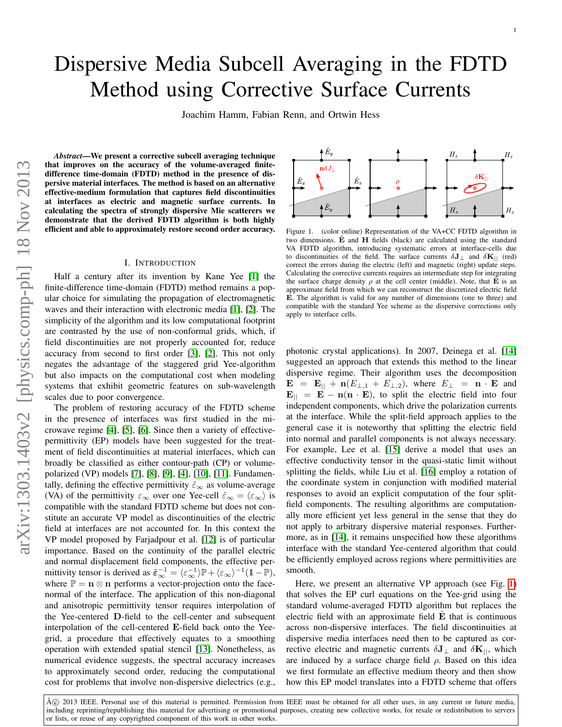# Dispersive Media Subcell Averaging in the FDTD Method using Corrective Surface Currents

Joachim Hamm, Fabian Renn, and Ortwin Hess

*Abstract*—We present a corrective subcell averaging technique that improves on the accuracy of the volume-averaged finitedifference time-domain (FDTD) method in the presence of dispersive material interfaces*.* The method is based on an alternative effective-medium formulation that captures field discontinuities at interfaces as electric and magnetic surface currents. In calculating the spectra of strongly dispersive Mie scatterers we demonstrate that the derived FDTD algorithm is both highly efficient and able to approximately restore second order accuracy.

### I. INTRODUCTION

Half a century after its invention by Kane Yee [\[1\]](#page-5-0) the finite-difference time-domain (FDTD) method remains a popular choice for simulating the propagation of electromagnetic waves and their interaction with electronic media [\[1\]](#page-5-0), [\[2\]](#page-5-1). The simplicity of the algorithm and its low computational footprint are contrasted by the use of non-conformal grids, which, if field discontinuities are not properly accounted for, reduce accuracy from second to first order [\[3\]](#page-5-2), [\[2\]](#page-5-1). This not only negates the advantage of the staggered grid Yee-algorithm but also impacts on the computational cost when modeling systems that exhibit geometric features on sub-wavelength scales due to poor convergence.

The problem of restoring accuracy of the FDTD scheme in the presence of interfaces was first studied in the microwave regime [\[4\]](#page-5-3), [\[5\]](#page-5-4), [\[6\]](#page-5-5). Since then a variety of effectivepermittivity (EP) models have been suggested for the treatment of field discontinuities at material interfaces, which can broadly be classified as either contour-path (CP) or volumepolarized (VP) models [\[7\]](#page-5-6), [\[8\]](#page-5-7), [\[9\]](#page-5-8), [\[4\]](#page-5-3), [\[10\]](#page-5-9), [\[11\]](#page-5-10). Fundamentally, defining the effective permittivity  $\tilde{\varepsilon}_{\infty}$  as volume-average (VA) of the permittivity  $\varepsilon_{\infty}$  over one Yee-cell  $\tilde{\varepsilon}_{\infty} = \langle \varepsilon_{\infty} \rangle$  is compatible with the standard FDTD scheme but does not constitute an accurate VP model as discontinuities of the electric field at interfaces are not accounted for. In this context the VP model proposed by Farjadpour et al. [\[12\]](#page-5-11) is of particular importance. Based on the continuity of the parallel electric and normal displacement field components, the effective permittivity tensor is derived as  $\tilde{\epsilon}_{\infty}^{-1} = \langle \epsilon_{\infty}^{-1} \rangle \mathbb{P} + \langle \epsilon_{\infty} \rangle^{-1} (1 - \mathbb{P}),$ where  $\mathbb{P} = \mathbf{n} \otimes \mathbf{n}$  performs a vector-projection onto the facenormal of the interface. The application of this non-diagonal and anisotropic permittivity tensor requires interpolation of the Yee-centered D-field to the cell-center and subsequent interpolation of the cell-centered E-field back onto the Yeegrid, a procedure that effectively equates to a smoothing operation with extended spatial stencil [\[13\]](#page-5-12). Nonetheless, as numerical evidence suggests, the spectral accuracy increases to approximately second order, reducing the computational cost for problems that involve non-dispersive dielectrics (e.g.,



<span id="page-0-0"></span>Figure 1. (color online) Representation of the VA+CC FDTD algorithm in two dimensions.  $\dot{\mathbf{E}}$  and  $\mathbf{H}$  fields (black) are calculated using the standard VA FDTD algorithm, introducing systematic errors at interface-cells due to discontinuities of the field. The surface currents  $\delta J_{\perp}$  and  $\delta K_{||}$  (red) correct the errors during the electric (left) and magnetic (right) update steps. Calculating the corrective currents requires an intermediate step for integrating the surface charge density  $\rho$  at the cell center (middle). Note, that  $\tilde{E}$  is an approximate field from which we can reconstruct the discretized electric field E. The algorithm is valid for any number of dimensions (one to three) and compatible with the standard Yee scheme as the dispersive corrections only apply to interface cells.

photonic crystal applications). In 2007, Deinega et al. [\[14\]](#page-5-13) suggested an approach that extends this method to the linear dispersive regime. Their algorithm uses the decomposition  $\mathbf{E} = \mathbf{E}_{||} + \mathbf{n}(E_{\perp,1} + E_{\perp,2}),$  where  $E_{\perp} = \mathbf{n} \cdot \mathbf{E}$  and  ${\bf E}_{\parallel}$  =  ${\bf E}$  –  ${\bf n}({\bf n} \cdot {\bf E})$ , to split the electric field into four independent components, which drive the polarization currents at the interface. While the split-field approach applies to the general case it is noteworthy that splitting the electric field into normal and parallel components is not always necessary. For example, Lee et al. [\[15\]](#page-5-14) derive a model that uses an effective conductivity tensor in the quasi-static limit without splitting the fields, while Liu et al. [\[16\]](#page-5-15) employ a rotation of the coordinate system in conjunction with modified material responses to avoid an explicit computation of the four splitfield components. The resulting algorithms are computationally more efficient yet less general in the sense that they do not apply to arbitrary dispersive material responses. Furthermore, as in [\[14\]](#page-5-13), it remains unspecified how these algorithms interface with the standard Yee-centered algorithm that could be efficiently employed across regions where permittivities are smooth.

Here, we present an alternative VP approach (see Fig. [1\)](#page-0-0) that solves the EP curl equations on the Yee-grid using the standard volume-averaged FDTD algorithm but replaces the electric field with an approximate field  $E$  that is continuous across non-dispersive interfaces. The field discontinuities at dispersive media interfaces need then to be captured as corrective electric and magnetic currents  $\delta J_{\perp}$  and  $\delta K_{||}$ , which are induced by a surface charge field  $\rho$ . Based on this idea we first formulate an effective medium theory and then show how this EP model translates into a FDTD scheme that offers

© 2013 IEEE. Personal use of this material is permitted. Permission from IEEE must be obtained for all other uses, in any current or future media, including reprinting/republishing this material for advertising or promotional purposes, creating new collective works, for resale or redistribution to servers or lists, or reuse of any copyrighted component of this work in other works.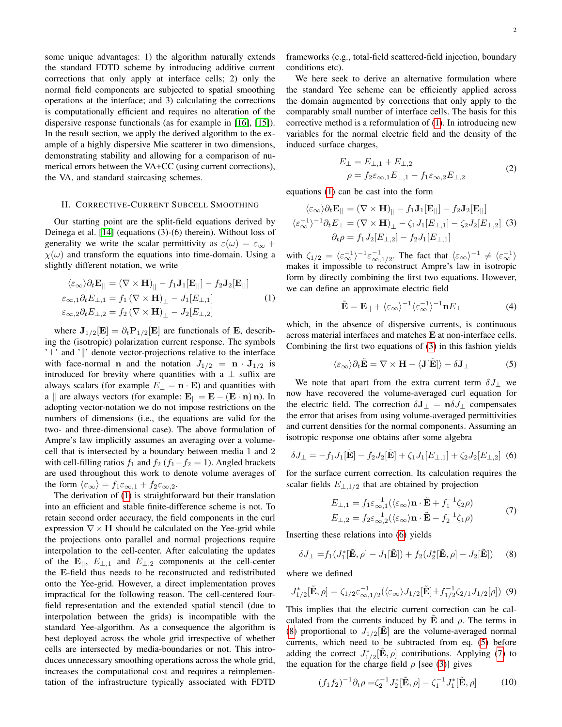some unique advantages: 1) the algorithm naturally extends the standard FDTD scheme by introducing additive current corrections that only apply at interface cells; 2) only the normal field components are subjected to spatial smoothing operations at the interface; and 3) calculating the corrections is computationally efficient and requires no alteration of the dispersive response functionals (as for example in [\[16\]](#page-5-15), [\[15\]](#page-5-14)). In the result section, we apply the derived algorithm to the example of a highly dispersive Mie scatterer in two dimensions, demonstrating stability and allowing for a comparison of numerical errors between the VA+CC (using current corrections), the VA, and standard staircasing schemes.

#### II. CORRECTIVE-CURRENT SUBCELL SMOOTHING

Our starting point are the split-field equations derived by Deinega et al. [\[14\]](#page-5-13) (equations (3)-(6) therein). Without loss of generality we write the scalar permittivity as  $\varepsilon(\omega) = \varepsilon_{\infty}$  +  $\chi(\omega)$  and transform the equations into time-domain. Using a slightly different notation, we write

<span id="page-1-0"></span>
$$
\langle \varepsilon_{\infty} \rangle \partial_t \mathbf{E}_{||} = (\nabla \times \mathbf{H})_{||} - f_1 \mathbf{J}_1[\mathbf{E}_{||}] - f_2 \mathbf{J}_2[\mathbf{E}_{||}] \n\varepsilon_{\infty,1} \partial_t E_{\perp,1} = f_1 (\nabla \times \mathbf{H})_{\perp} - J_1[E_{\perp,1}] \n\in \varepsilon_{\infty,2} \partial_t E_{\perp,2} = f_2 (\nabla \times \mathbf{H})_{\perp} - J_2[E_{\perp,2}]
$$
\n(1)

where  $J_{1/2}[E] = \partial_t P_{1/2}[E]$  are functionals of E, describing the (isotropic) polarization current response. The symbols '⊥' and '||' denote vector-projections relative to the interface with face-normal **n** and the notation  $J_{1/2} = \mathbf{n} \cdot \mathbf{J}_{1/2}$  is introduced for brevity where quantities with a  $\perp$  suffix are always scalars (for example  $E_{\perp} = \mathbf{n} \cdot \mathbf{E}$ ) and quantities with a || are always vectors (for example:  $E_{\parallel} = E - (E \cdot n) n$ ). In adopting vector-notation we do not impose restrictions on the numbers of dimensions (i.e., the equations are valid for the two- and three-dimensional case). The above formulation of Ampre's law implicitly assumes an averaging over a volumecell that is intersected by a boundary between media 1 and 2 with cell-filling ratios  $f_1$  and  $f_2$  ( $f_1+f_2=1$ ). Angled brackets are used throughout this work to denote volume averages of the form  $\langle \varepsilon_{\infty} \rangle = f_1 \varepsilon_{\infty,1} + f_2 \varepsilon_{\infty,2}$ .

The derivation of [\(1\)](#page-1-0) is straightforward but their translation into an efficient and stable finite-difference scheme is not. To retain second order accuracy, the field components in the curl expression  $\nabla \times \mathbf{H}$  should be calculated on the Yee-grid while the projections onto parallel and normal projections require interpolation to the cell-center. After calculating the updates of the  $\mathbf{E}_{\parallel}$ ,  $E_{\perp,1}$  and  $E_{\perp,2}$  components at the cell-center the E-field thus needs to be reconstructed and redistributed onto the Yee-grid. However, a direct implementation proves impractical for the following reason. The cell-centered fourfield representation and the extended spatial stencil (due to interpolation between the grids) is incompatible with the standard Yee-algorithm. As a consequence the algorithm is best deployed across the whole grid irrespective of whether cells are intersected by media-boundaries or not. This introduces unnecessary smoothing operations across the whole grid, increases the computational cost and requires a reimplementation of the infrastructure typically associated with FDTD frameworks (e.g., total-field scattered-field injection, boundary conditions etc).

We here seek to derive an alternative formulation where the standard Yee scheme can be efficiently applied across the domain augmented by corrections that only apply to the comparably small number of interface cells. The basis for this corrective method is a reformulation of [\(1\)](#page-1-0). In introducing new variables for the normal electric field and the density of the induced surface charges,

$$
E_{\perp} = E_{\perp,1} + E_{\perp,2}
$$
  
\n
$$
\rho = f_2 \varepsilon_{\infty,1} E_{\perp,1} - f_1 \varepsilon_{\infty,2} E_{\perp,2}
$$
\n(2)

equations [\(1\)](#page-1-0) can be cast into the form

<span id="page-1-1"></span>
$$
\langle \varepsilon_{\infty} \rangle \partial_t \mathbf{E}_{||} = (\nabla \times \mathbf{H})_{||} - f_1 \mathbf{J}_1[\mathbf{E}_{||}] - f_2 \mathbf{J}_2[\mathbf{E}_{||}]
$$
  

$$
\langle \varepsilon_{\infty}^{-1} \rangle^{-1} \partial_t E_{\perp} = (\nabla \times \mathbf{H})_{\perp} - \zeta_1 J_1[E_{\perp,1}] - \zeta_2 J_2[E_{\perp,2}] \tag{3}
$$
  

$$
\partial_t \rho = f_1 J_2[E_{\perp,2}] - f_2 J_1[E_{\perp,1}]
$$

with  $\zeta_{1/2} = \langle \varepsilon_\infty^{-1} \rangle^{-1} \varepsilon_{\infty,1/2}^{-1}$ . The fact that  $\langle \varepsilon_\infty \rangle^{-1} \neq \langle \varepsilon_\infty^{-1} \rangle$ makes it impossible to reconstruct Ampre's law in isotropic form by directly combining the first two equations. However, we can define an approximate electric field

$$
\tilde{\mathbf{E}} = \mathbf{E}_{||} + \langle \varepsilon_{\infty} \rangle^{-1} \langle \varepsilon_{\infty}^{-1} \rangle^{-1} \mathbf{n} E_{\perp}
$$
 (4)

which, in the absence of dispersive currents, is continuous across material interfaces and matches E at non-interface cells. Combining the first two equations of [\(3\)](#page-1-1) in this fashion yields

<span id="page-1-4"></span>
$$
\langle \varepsilon_{\infty} \rangle \partial_t \tilde{\mathbf{E}} = \nabla \times \mathbf{H} - \langle \mathbf{J}[\tilde{\mathbf{E}}] \rangle - \delta \mathbf{J}_{\perp}
$$
 (5)

We note that apart from the extra current term  $\delta J_{\perp}$  we now have recovered the volume-averaged curl equation for the electric field. The correction  $\delta J_{\perp} = n \delta J_{\perp}$  compensates the error that arises from using volume-averaged permittivities and current densities for the normal components. Assuming an isotropic response one obtains after some algebra

<span id="page-1-2"></span>
$$
\delta J_{\perp} = -f_1 J_1[\tilde{\mathbf{E}}] - f_2 J_2[\tilde{\mathbf{E}}] + \zeta_1 J_1[E_{\perp,1}] + \zeta_2 J_2[E_{\perp,2}] \tag{6}
$$

for the surface current correction. Its calculation requires the scalar fields  $E_{\perp,1/2}$  that are obtained by projection

<span id="page-1-5"></span>
$$
E_{\perp,1} = f_1 \varepsilon_{\infty,1}^{-1} (\langle \varepsilon_{\infty} \rangle \mathbf{n} \cdot \tilde{\mathbf{E}} + f_1^{-1} \zeta_2 \rho)
$$
  
\n
$$
E_{\perp,2} = f_2 \varepsilon_{\infty,2}^{-1} (\langle \varepsilon_{\infty} \rangle \mathbf{n} \cdot \tilde{\mathbf{E}} - f_2^{-1} \zeta_1 \rho)
$$
 (7)

Inserting these relations into [\(6\)](#page-1-2) yields

<span id="page-1-3"></span>
$$
\delta J_{\perp} = f_1(J_1^*[\tilde{\mathbf{E}}, \rho] - J_1[\tilde{\mathbf{E}}]) + f_2(J_2^*[\tilde{\mathbf{E}}, \rho] - J_2[\tilde{\mathbf{E}}]) \tag{8}
$$

where we defined

<span id="page-1-7"></span>
$$
J_{1/2}^{\ast}[\tilde{\mathbf{E}},\rho] = \zeta_{1/2} \varepsilon_{\infty,1/2}^{-1} (\langle \varepsilon_{\infty} \rangle J_{1/2}[\tilde{\mathbf{E}}] \pm f_{1/2}^{-1} \zeta_{2/1} J_{1/2}[\rho]) \tag{9}
$$

This implies that the electric current correction can be calculated from the currents induced by  $\hat{E}$  and  $\rho$ . The terms in [\(8\)](#page-1-3) proportional to  $J_{1/2}[\mathbf{\dot{E}}]$  are the volume-averaged normal currents, which need to be subtracted from eq. [\(5\)](#page-1-4) before adding the correct  $J_{1/2}^*[\tilde{\mathbf{E}}, \rho]$  contributions. Applying [\(7\)](#page-1-5) to the equation for the charge field  $\rho$  [see [\(3\)](#page-1-1)] gives

<span id="page-1-6"></span>
$$
(f_1 f_2)^{-1} \partial_t \rho = \zeta_2^{-1} J_2^* [\tilde{\mathbf{E}}, \rho] - \zeta_1^{-1} J_1^* [\tilde{\mathbf{E}}, \rho] \tag{10}
$$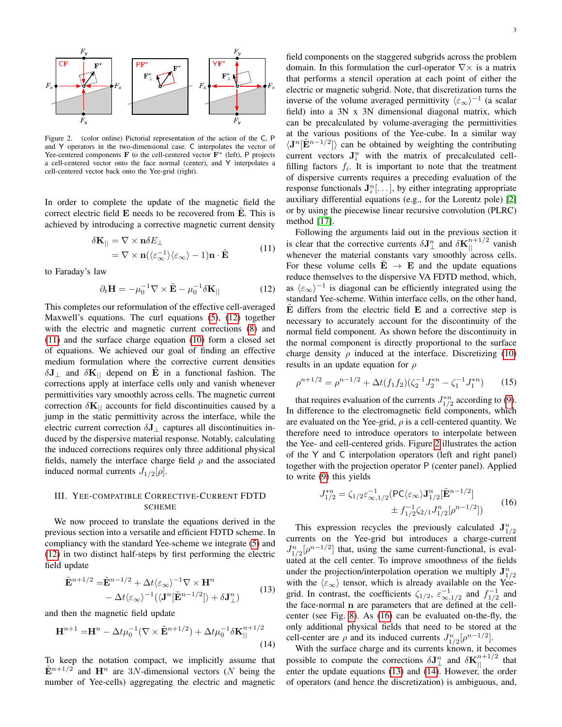

<span id="page-2-2"></span>Figure 2. (color online) Pictorial representation of the action of the C, P and Y operators in the two-dimensional case. C interpolates the vector of Yee-centered components F to the cell-centered vector  $\mathbf{F}^*$  (left), P projects a cell-centered vector onto the face normal (center), and Y interpolates a cell-centered vector back onto the Yee-grid (right).

In order to complete the update of the magnetic field the correct electric field  $E$  needs to be recovered from  $\overline{E}$ . This is achieved by introducing a corrective magnetic current density

$$
\delta \mathbf{K}_{||} = \nabla \times \mathbf{n} \delta E_{\perp}
$$
  
=  $\nabla \times \mathbf{n} (\langle \varepsilon_{\infty}^{-1} \rangle \langle \varepsilon_{\infty} \rangle - 1) \mathbf{n} \cdot \tilde{\mathbf{E}}$  (11)

<span id="page-2-1"></span>to Faraday's law

<span id="page-2-0"></span>
$$
\partial_t \mathbf{H} = -\mu_0^{-1} \nabla \times \tilde{\mathbf{E}} - \mu_0^{-1} \delta \mathbf{K}_{||} \tag{12}
$$

This completes our reformulation of the effective cell-averaged Maxwell's equations. The curl equations [\(5\)](#page-1-4), [\(12\)](#page-2-0) together with the electric and magnetic current corrections [\(8\)](#page-1-3) and [\(11\)](#page-2-1) and the surface charge equation [\(10\)](#page-1-6) form a closed set of equations. We achieved our goal of finding an effective medium formulation where the corrective current densities  $\delta J_{\perp}$  and  $\delta K_{\parallel}$  depend on E in a functional fashion. The corrections apply at interface cells only and vanish whenever permittivities vary smoothly across cells. The magnetic current correction  $\delta \mathbf{K}_{\parallel}$  accounts for field discontinuities caused by a jump in the static permittivity across the interface, while the electric current correction  $\delta J_{\perp}$  captures all discontinuities induced by the dispersive material response. Notably, calculating the induced corrections requires only three additional physical fields, namely the interface charge field  $\rho$  and the associated induced normal currents  $J_{1/2}[\rho]$ .

## III. YEE-COMPATIBLE CORRECTIVE-CURRENT FDTD SCHEME

We now proceed to translate the equations derived in the previous section into a versatile and efficient FDTD scheme. In compliancy with the standard Yee-scheme we integrate [\(5\)](#page-1-4) and [\(12\)](#page-2-0) in two distinct half-steps by first performing the electric field update

<span id="page-2-4"></span>
$$
\tilde{\mathbf{E}}^{n+1/2} = \tilde{\mathbf{E}}^{n-1/2} + \Delta t \langle \varepsilon_{\infty} \rangle^{-1} \nabla \times \mathbf{H}^{n} \n- \Delta t \langle \varepsilon_{\infty} \rangle^{-1} (\langle \mathbf{J}^{n} [\tilde{\mathbf{E}}^{n-1/2}] \rangle + \delta \mathbf{J}^{n}_{\perp})
$$
\n(13)

and then the magnetic field update

<span id="page-2-5"></span>
$$
\mathbf{H}^{n+1} = \mathbf{H}^n - \Delta t \mu_0^{-1} (\nabla \times \tilde{\mathbf{E}}^{n+1/2}) + \Delta t \mu_0^{-1} \delta \mathbf{K}_{||}^{n+1/2}
$$
\n(14)

To keep the notation compact, we implicitly assume that  $\tilde{\mathbf{E}}^{n+1/2}$  and  $\mathbf{H}^n$  are 3N-dimensional vectors (N being the number of Yee-cells) aggregating the electric and magnetic 3

field components on the staggered subgrids across the problem domain. In this formulation the curl-operator  $\nabla \times$  is a matrix that performs a stencil operation at each point of either the electric or magnetic subgrid. Note, that discretization turns the inverse of the volume averaged permittivity  $\langle \varepsilon_{\infty} \rangle^{-1}$  (a scalar field) into a 3N x 3N dimensional diagonal matrix, which can be precalculated by volume-averaging the permittivities at the various positions of the Yee-cube. In a similar way  $\langle J^n[\tilde{E}^{n-1/2}] \rangle$  can be obtained by weighting the contributing current vectors  $J_i^n$  with the matrix of precalculated cellfilling factors  $f_i$ . It is important to note that the treatment of dispersive currents requires a preceding evaluation of the response functionals  $J_i^n$ [...], by either integrating appropriate auxiliary differential equations (e.g., for the Lorentz pole) [\[2\]](#page-5-1) or by using the piecewise linear recursive convolution (PLRC) method [\[17\]](#page-5-16).

Following the arguments laid out in the previous section it is clear that the corrective currents  $\delta J_{\perp}^n$  and  $\delta K_{||}^{n+1/2}$  vanish whenever the material constants vary smoothly across cells. For these volume cells  $E \rightarrow E$  and the update equations reduce themselves to the dispersive VA FDTD method, which, as  $\langle \varepsilon_{\infty} \rangle$ <sup>-1</sup> is diagonal can be efficiently integrated using the standard Yee-scheme. Within interface cells, on the other hand,  $E$  differs from the electric field  $E$  and a corrective step is necessary to accurately account for the discontinuity of the normal field component. As shown before the discontinuity in the normal component is directly proportional to the surface charge density  $\rho$  induced at the interface. Discretizing [\(10\)](#page-1-6) results in an update equation for  $\rho$ 

<span id="page-2-6"></span>
$$
\rho^{n+1/2} = \rho^{n-1/2} + \Delta t (f_1 f_2) (\zeta_2^{-1} J_2^{*n} - \zeta_1^{-1} J_1^{*n}) \tag{15}
$$

that requires evaluation of the currents  $J_{1/2}^{*n}$  according to [\(9\)](#page-1-7). In difference to the electromagnetic field components, which are evaluated on the Yee-grid,  $\rho$  is a cell-centered quantity. We therefore need to introduce operators to interpolate between the Yee- and cell-centered grids. Figure [2](#page-2-2) illustrates the action of the Y and C interpolation operators (left and right panel) together with the projection operator P (center panel). Applied to write [\(9\)](#page-1-7) this yields

$$
J_{1/2}^{*n} = \zeta_{1/2} \varepsilon_{\infty, 1/2}^{-1} (\mathsf{PC}\langle \varepsilon_{\infty} \rangle \mathbf{J}_{1/2}^{n} [\tilde{\mathbf{E}}^{n-1/2}]
$$
  
 
$$
\pm f_{1/2}^{-1} \zeta_{2/1} J_{1/2}^{n} [\rho^{n-1/2}])
$$
 (16)

<span id="page-2-3"></span>This expression recycles the previously calculated  $J_{1/2}^n$ currents on the Yee-grid but introduces a charge-current  $J_{1/2}^n[\rho^{n-1/2}]$  that, using the same current-functional, is evaluated at the cell center. To improve smoothness of the fields under the projection/interpolation operation we multiply  $J_{1/2}^n$ with the  $\langle \varepsilon_{\infty} \rangle$  tensor, which is already available on the Yeegrid. In contrast, the coefficients  $\zeta_{1/2}$ ,  $\varepsilon_{\infty,1/2}^{-1}$  and  $f_{1/2}^{-1}$  and the face-normal n are parameters that are defined at the cellcenter (see Fig. [8\)](#page-5-17). As [\(16\)](#page-2-3) can be evaluated on-the-fly, the only additional physical fields that need to be stored at the cell-center are  $\rho$  and its induced currents  $J_{1/2}^n[\rho^{n-1/2}]$ .

With the surface charge and its currents known, it becomes possible to compute the corrections  $\delta J_{\perp}^n$  and  $\delta K_{||}^{n+1/2}$  that enter the update equations  $(13)$  and  $(14)$ . However, the order of operators (and hence the discretization) is ambiguous, and,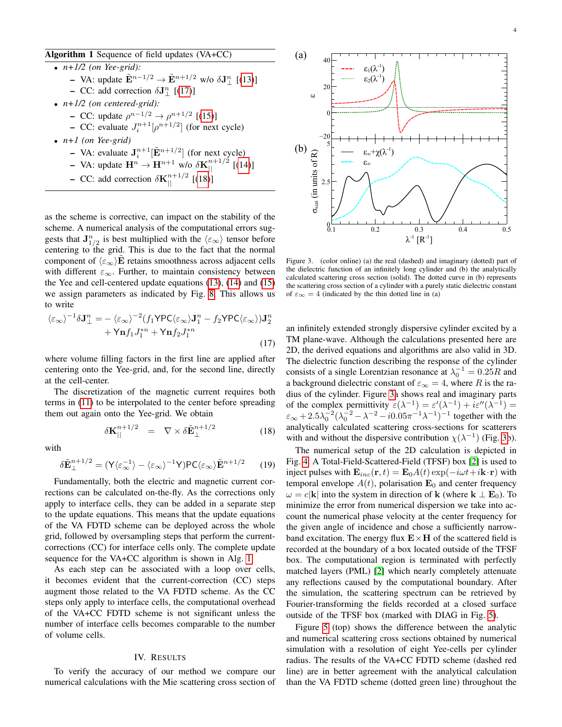## <span id="page-3-2"></span>Algorithm 1 Sequence of field updates (VA+CC)

- *n+1/2 (on Yee-grid):*
	- VA: update  $\tilde{\mathbf{E}}^{n-1/2}$  →  $\tilde{\mathbf{E}}^{n+1/2}$  w/o  $\delta \mathbf{J}_{\perp}^{n}$  [[\(13\)](#page-2-4)]
	- CC: add correction  $\delta J_{\perp}^{n}$  [[\(17\)](#page-3-0)]
- *n+1/2 (on centered-grid):*
	- $-$  CC: update  $\rho^{n-1/2}$  →  $\rho^{n+1/2}$  [[\(15\)](#page-2-6)]
		- CC: evaluate  $J_i^{n+1}[\rho^{n+1/2}]$  (for next cycle)
- *n+1 (on Yee-grid)*
	- VA: evaluate  $J_i^{n+1}[\tilde{E}^{n+1/2}]$  (for next cycle)
	- VA: update  $\mathbf{H}^n \to \mathbf{H}^{n+1}$  w/o  $\delta \mathbf{K}_{||}^{n+1/2}$  [[\(14\)](#page-2-5)]
	- CC: add correction  $\delta \mathbf{K}_{||}^{n+1/2}$  [[\(18\)](#page-3-1)]

as the scheme is corrective, can impact on the stability of the scheme. A numerical analysis of the computational errors suggests that  $\mathbf{J}_{1/2}^n$  is best multiplied with the  $\langle \varepsilon_{\infty} \rangle$  tensor before centering to the grid. This is due to the fact that the normal component of  $\langle \varepsilon_{\infty} \rangle$ **E** retains smoothness across adjacent cells with different  $\varepsilon_{\infty}$ . Further, to maintain consistency between the Yee and cell-centered update equations [\(13\)](#page-2-4), [\(14\)](#page-2-5) and [\(15\)](#page-2-6) we assign parameters as indicated by Fig. [8.](#page-5-17) This allows us to write

<span id="page-3-0"></span>
$$
\langle \varepsilon_{\infty} \rangle^{-1} \delta \mathbf{J}_{\perp}^{n} = - \langle \varepsilon_{\infty} \rangle^{-2} (f_{1} \mathsf{YPC} \langle \varepsilon_{\infty} \rangle \mathbf{J}_{1}^{n} - f_{2} \mathsf{YPC} \langle \varepsilon_{\infty} \rangle) \mathbf{J}_{2}^{n} + \mathsf{Y} \mathbf{n} f_{1} J_{1}^{*n} + \mathsf{Y} \mathbf{n} f_{2} J_{1}^{*n}
$$
\n(17)

where volume filling factors in the first line are applied after centering onto the Yee-grid, and, for the second line, directly at the cell-center.

The discretization of the magnetic current requires both terms in [\(11\)](#page-2-1) to be interpolated to the center before spreading them out again onto the Yee-grid. We obtain

<span id="page-3-1"></span>
$$
\delta \mathbf{K}_{||}^{n+1/2} = \nabla \times \delta \tilde{\mathbf{E}}_{\perp}^{n+1/2} \tag{18}
$$

with

$$
\delta \tilde{\mathbf{E}}_{\perp}^{n+1/2} = (\mathsf{Y}\langle \varepsilon_{\infty}^{-1} \rangle - \langle \varepsilon_{\infty} \rangle^{-1} \mathsf{Y}) \mathsf{PC}\langle \varepsilon_{\infty} \rangle \tilde{\mathbf{E}}^{n+1/2} \qquad (19)
$$

Fundamentally, both the electric and magnetic current corrections can be calculated on-the-fly. As the corrections only apply to interface cells, they can be added in a separate step to the update equations. This means that the update equations of the VA FDTD scheme can be deployed across the whole grid, followed by oversampling steps that perform the currentcorrections (CC) for interface cells only. The complete update sequence for the VA+CC algorithm is shown in Alg. [1.](#page-3-2)

As each step can be associated with a loop over cells, it becomes evident that the current-correction (CC) steps augment those related to the VA FDTD scheme. As the CC steps only apply to interface cells, the computational overhead of the VA+CC FDTD scheme is not significant unless the number of interface cells becomes comparable to the number of volume cells.

### IV. RESULTS

To verify the accuracy of our method we compare our numerical calculations with the Mie scattering cross section of



<span id="page-3-3"></span>Figure 3. (color online) (a) the real (dashed) and imaginary (dotted) part of the dielectric function of an infinitely long cylinder and (b) the analytically calculated scattering cross section (solid). The dotted curve in (b) represents the scattering cross section of a cylinder with a purely static dielectric constant of  $\varepsilon_{\infty} = 4$  (indicated by the thin dotted line in (a)

an infinitely extended strongly dispersive cylinder excited by a TM plane-wave. Although the calculations presented here are 2D, the derived equations and algorithms are also valid in 3D. The dielectric function describing the response of the cylinder consists of a single Lorentzian resonance at  $\lambda_0^{-1} = 0.25R$  and a background dielectric constant of  $\varepsilon_{\infty} = 4$ , where R is the radius of the cylinder. Figure [3a](#page-3-3) shows real and imaginary parts of the complex permittivity  $\varepsilon(\lambda^{-1}) = \varepsilon'(\lambda^{-1}) + i\varepsilon''(\lambda^{-1}) =$  $\varepsilon_{\infty} + 2.5\lambda_0^{-2}(\lambda_0^{-2} - \lambda^{-2} - i0.05\pi^{-1}\lambda^{-1})^{-1}$  together with the analytically calculated scattering cross-sections for scatterers with and without the dispersive contribution  $\chi(\lambda^{-1})$  (Fig. [3b](#page-3-3)).

The numerical setup of the 2D calculation is depicted in Fig. [4.](#page-4-0) A Total-Field-Scattered-Field (TFSF) box [\[2\]](#page-5-1) is used to inject pulses with  $\mathbf{E}_{inc}(\mathbf{r}, t) = \mathbf{E}_0 A(t) \exp(-i\omega t + i\mathbf{k} \cdot \mathbf{r})$  with temporal envelope  $A(t)$ , polarisation  $\mathbf{E}_0$  and center frequency  $\omega = c|\mathbf{k}|$  into the system in direction of **k** (where **k**  $\perp \mathbf{E}_0$ ). To minimize the error from numerical dispersion we take into account the numerical phase velocity at the center frequency for the given angle of incidence and chose a sufficiently narrowband excitation. The energy flux  $E \times H$  of the scattered field is recorded at the boundary of a box located outside of the TFSF box. The computational region is terminated with perfectly matched layers (PML) [\[2\]](#page-5-1) which nearly completely attenuate any reflections caused by the computational boundary. After the simulation, the scattering spectrum can be retrieved by Fourier-transforming the fields recorded at a closed surface outside of the TFSF box (marked with DIAG in Fig. [5\)](#page-4-1).

Figure [5](#page-4-1) (top) shows the difference between the analytic and numerical scattering cross sections obtained by numerical simulation with a resolution of eight Yee-cells per cylinder radius. The results of the VA+CC FDTD scheme (dashed red line) are in better agreement with the analytical calculation than the VA FDTD scheme (dotted green line) throughout the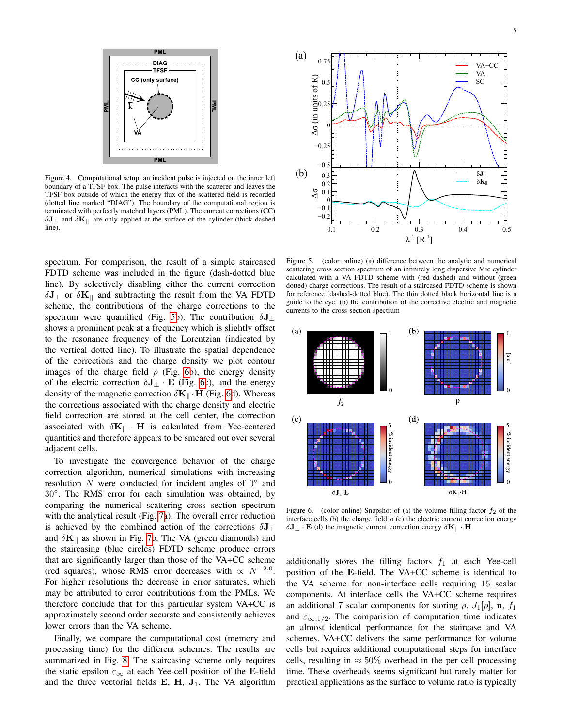

<span id="page-4-0"></span>Figure 4. Computational setup: an incident pulse is injected on the inner left boundary of a TFSF box. The pulse interacts with the scatterer and leaves the TFSF box outside of which the energy flux of the scattered field is recorded (dotted line marked "DIAG"). The boundary of the computational region is terminated with perfectly matched layers (PML). The current corrections (CC)  $\delta J_{\perp}$  and  $\delta K_{\parallel}$  are only applied at the surface of the cylinder (thick dashed line).

spectrum. For comparison, the result of a simple staircased FDTD scheme was included in the figure (dash-dotted blue line). By selectively disabling either the current correction  $\delta J_{\perp}$  or  $\delta K_{\parallel}$  and subtracting the result from the VA FDTD scheme, the contributions of the charge corrections to the spectrum were quantified (Fig. [5b](#page-4-1)). The contribution  $\delta J_{\perp}$ shows a prominent peak at a frequency which is slightly offset to the resonance frequency of the Lorentzian (indicated by the vertical dotted line). To illustrate the spatial dependence of the corrections and the charge density we plot contour images of the charge field  $\rho$  (Fig. [6b](#page-4-2)), the energy density of the electric correction  $\delta J_{\perp} \cdot E$  (Fig. [6c](#page-4-2)), and the energy density of the magnetic correction  $\delta \mathbf{K}_{\parallel} \cdot \mathbf{H}$  (Fig. [6d](#page-4-2)). Whereas the corrections associated with the charge density and electric field correction are stored at the cell center, the correction associated with  $\delta \mathbf{K}_{\parallel} \cdot \mathbf{H}$  is calculated from Yee-centered quantities and therefore appears to be smeared out over several adjacent cells.

To investigate the convergence behavior of the charge correction algorithm, numerical simulations with increasing resolution  $N$  were conducted for incident angles of  $0^{\circ}$  and 30◦ . The RMS error for each simulation was obtained, by comparing the numerical scattering cross section spectrum with the analytical result (Fig. [7a](#page-5-18)). The overall error reduction is achieved by the combined action of the corrections  $\delta J_{\perp}$ and  $\delta \mathbf{K}_{\parallel}$  as shown in Fig. [7b](#page-5-18). The VA (green diamonds) and the staircasing (blue circles) FDTD scheme produce errors that are significantly larger than those of the VA+CC scheme (red squares), whose RMS error decreases with  $\propto N^{-2.0}$ . For higher resolutions the decrease in error saturates, which may be attributed to error contributions from the PMLs. We therefore conclude that for this particular system VA+CC is approximately second order accurate and consistently achieves lower errors than the VA scheme.

Finally, we compare the computational cost (memory and processing time) for the different schemes. The results are summarized in Fig. [8.](#page-5-17) The staircasing scheme only requires the static epsilon  $\varepsilon_{\infty}$  at each Yee-cell position of the E-field and the three vectorial fields  $E$ ,  $H$ ,  $J_1$ . The VA algorithm



<span id="page-4-1"></span>Figure 5. (color online) (a) difference between the analytic and numerical scattering cross section spectrum of an infinitely long dispersive Mie cylinder calculated with a VA FDTD scheme with (red dashed) and without (green dotted) charge corrections. The result of a staircased FDTD scheme is shown for reference (dashed-dotted blue). The thin dotted black horizontal line is a guide to the eye. (b) the contribution of the corrective electric and magnetic currents to the cross section spectrum



<span id="page-4-2"></span>Figure 6. (color online) Snapshot of (a) the volume filling factor  $f_2$  of the interface cells (b) the charge field  $\rho$  (c) the electric current correction energy  $\delta J_{\perp} \cdot E$  (d) the magnetic current correction energy  $\delta K_{\parallel} \cdot H$ .

additionally stores the filling factors  $f_1$  at each Yee-cell position of the E-field. The VA+CC scheme is identical to the VA scheme for non-interface cells requiring 15 scalar components. At interface cells the VA+CC scheme requires an additional 7 scalar components for storing  $\rho$ ,  $J_1[\rho]$ , n,  $f_1$ and  $\varepsilon_{\infty,1/2}$ . The comparision of computation time indicates an almost identical performance for the staircase and VA schemes. VA+CC delivers the same performance for volume cells but requires additional computational steps for interface cells, resulting in  $\approx 50\%$  overhead in the per cell processing time. These overheads seems significant but rarely matter for practical applications as the surface to volume ratio is typically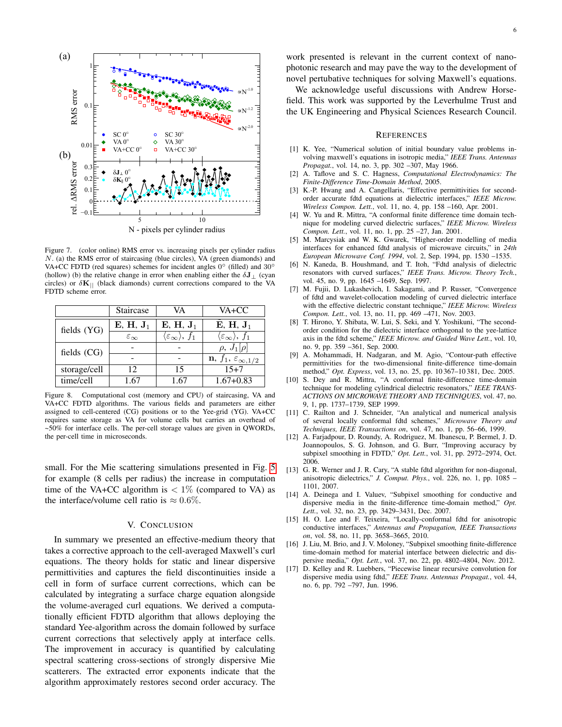

<span id="page-5-18"></span>Figure 7. (color online) RMS error vs. increasing pixels per cylinder radius N. (a) the RMS error of staircasing (blue circles), VA (green diamonds) and VA+CC FDTD (red squares) schemes for incident angles 0° (filled) and 30° (hollow) (b) the relative change in error when enabling either the  $\delta J_{\perp}$  (cyan circles) or  $\delta \mathbf{K}_{||}$  (black diamonds) current corrections compared to the VA FDTD scheme error.

|               | Staircase              | VA                                           | VA+CC                                          |
|---------------|------------------------|----------------------------------------------|------------------------------------------------|
| fields $(YG)$ | $E, H, J_1$            | $E, H, J_1$                                  | $E, H, J_1$                                    |
|               | $\varepsilon_{\infty}$ | $\langle \varepsilon_\infty \rangle$ , $f_1$ | $\langle \varepsilon_{\infty} \rangle$ , $f_1$ |
| fields (CG)   |                        |                                              | $\rho, J_1[\rho]$                              |
|               |                        |                                              | $\mathbf{n}, f_1, \varepsilon_{\infty,1/2}$    |
| storage/cell  | 12                     | 15                                           | $15 + 7$                                       |
| time/cell     | 1.67                   | 1.67                                         | $1.67 + 0.83$                                  |

<span id="page-5-17"></span>Figure 8. Computational cost (memory and CPU) of staircasing, VA and VA+CC FDTD algorithms. The various fields and parameters are either assigned to cell-centered (CG) positions or to the Yee-grid (YG). VA+CC requires same storage as VA for volume cells but carries an overhead of ~50% for interface cells. The per-cell storage values are given in QWORDs, the per-cell time in microseconds.

small. For the Mie scattering simulations presented in Fig. [5](#page-4-1) for example (8 cells per radius) the increase in computation time of the VA+CC algorithm is  $\langle 1 \rangle$  (compared to VA) as the interface/volume cell ratio is  $\approx 0.6\%$ .

#### V. CONCLUSION

In summary we presented an effective-medium theory that takes a corrective approach to the cell-averaged Maxwell's curl equations. The theory holds for static and linear dispersive permittivities and captures the field discontinuities inside a cell in form of surface current corrections, which can be calculated by integrating a surface charge equation alongside the volume-averaged curl equations. We derived a computationally efficient FDTD algorithm that allows deploying the standard Yee-algorithm across the domain followed by surface current corrections that selectively apply at interface cells. The improvement in accuracy is quantified by calculating spectral scattering cross-sections of strongly dispersive Mie scatterers. The extracted error exponents indicate that the algorithm approximately restores second order accuracy. The

work presented is relevant in the current context of nanophotonic research and may pave the way to the development of novel pertubative techniques for solving Maxwell's equations.

We acknowledge useful discussions with Andrew Horsefield. This work was supported by the Leverhulme Trust and the UK Engineering and Physical Sciences Research Council.

#### **REFERENCES**

- <span id="page-5-0"></span>[1] K. Yee, "Numerical solution of initial boundary value problems involving maxwell's equations in isotropic media," *IEEE Trans. Antennas Propagat.*, vol. 14, no. 3, pp. 302 –307, May 1966.
- <span id="page-5-1"></span>[2] A. Taflove and S. C. Hagness, *Computational Electrodynamics: The Finite-Difference Time-Domain Method*, 2005.
- <span id="page-5-2"></span>[3] K.-P. Hwang and A. Cangellaris, "Effective permittivities for secondorder accurate fdtd equations at dielectric interfaces," *IEEE Microw. Wireless Compon. Lett.*, vol. 11, no. 4, pp. 158 –160, Apr. 2001.
- <span id="page-5-3"></span>[4] W. Yu and R. Mittra, "A conformal finite difference time domain technique for modeling curved dielectric surfaces," *IEEE Microw. Wireless Compon. Lett.*, vol. 11, no. 1, pp. 25 –27, Jan. 2001.
- <span id="page-5-4"></span>[5] M. Marcysiak and W. K. Gwarek, "Higher-order modelling of media interfaces for enhanced fdtd analysis of microwave circuits," in *24th European Microwave Conf. 1994*, vol. 2, Sep. 1994, pp. 1530 –1535.
- <span id="page-5-5"></span>[6] N. Kaneda, B. Houshmand, and T. Itoh, "Fdtd analysis of dielectric resonators with curved surfaces," *IEEE Trans. Microw. Theory Tech.*, vol. 45, no. 9, pp. 1645 –1649, Sep. 1997.
- <span id="page-5-6"></span>[7] M. Fujii, D. Lukashevich, I. Sakagami, and P. Russer, "Convergence of fdtd and wavelet-collocation modeling of curved dielectric interface with the effective dielectric constant technique," *IEEE Microw. Wireless Compon. Lett.*, vol. 13, no. 11, pp. 469 –471, Nov. 2003.
- <span id="page-5-7"></span>[8] T. Hirono, Y. Shibata, W. Lui, S. Seki, and Y. Yoshikuni, "The secondorder condition for the dielectric interface orthogonal to the yee-lattice axis in the fdtd scheme," *IEEE Microw. and Guided Wave Lett.*, vol. 10, no. 9, pp. 359 –361, Sep. 2000.
- <span id="page-5-8"></span>[9] A. Mohammadi, H. Nadgaran, and M. Agio, "Contour-path effective permittivities for the two-dimensional finite-difference time-domain method," *Opt. Express*, vol. 13, no. 25, pp. 10 367–10 381, Dec. 2005.
- <span id="page-5-9"></span>[10] S. Dey and R. Mittra, "A conformal finite-difference time-domain technique for modeling cylindrical dielectric resonators," *IEEE TRANS-ACTIONS ON MICROWAVE THEORY AND TECHNIQUES*, vol. 47, no. 9, 1, pp. 1737–1739, SEP 1999.
- <span id="page-5-10"></span>[11] C. Railton and J. Schneider, "An analytical and numerical analysis of several locally conformal fdtd schemes," *Microwave Theory and Techniques, IEEE Transactions on*, vol. 47, no. 1, pp. 56–66, 1999.
- <span id="page-5-11"></span>[12] A. Farjadpour, D. Roundy, A. Rodriguez, M. Ibanescu, P. Bermel, J. D. Joannopoulos, S. G. Johnson, and G. Burr, "Improving accuracy by subpixel smoothing in FDTD," *Opt. Lett.*, vol. 31, pp. 2972–2974, Oct. 2006.
- <span id="page-5-12"></span>[13] G. R. Werner and J. R. Cary, "A stable fdtd algorithm for non-diagonal, anisotropic dielectrics," *J. Comput. Phys.*, vol. 226, no. 1, pp. 1085 – 1101, 2007.
- <span id="page-5-13"></span>[14] A. Deinega and I. Valuev, "Subpixel smoothing for conductive and dispersive media in the finite-difference time-domain method," *Opt. Lett.*, vol. 32, no. 23, pp. 3429–3431, Dec. 2007.
- <span id="page-5-14"></span>[15] H. O. Lee and F. Teixeira, "Locally-conformal fdtd for anisotropic conductive interfaces," *Antennas and Propagation, IEEE Transactions on*, vol. 58, no. 11, pp. 3658–3665, 2010.
- <span id="page-5-15"></span>[16] J. Liu, M. Brio, and J. V. Moloney, "Subpixel smoothing finite-difference time-domain method for material interface between dielectric and dispersive media," *Opt. Lett.*, vol. 37, no. 22, pp. 4802–4804, Nov. 2012.
- <span id="page-5-16"></span>[17] D. Kelley and R. Luebbers, "Piecewise linear recursive convolution for dispersive media using fdtd," *IEEE Trans. Antennas Propagat.*, vol. 44, no. 6, pp. 792 –797, Jun. 1996.